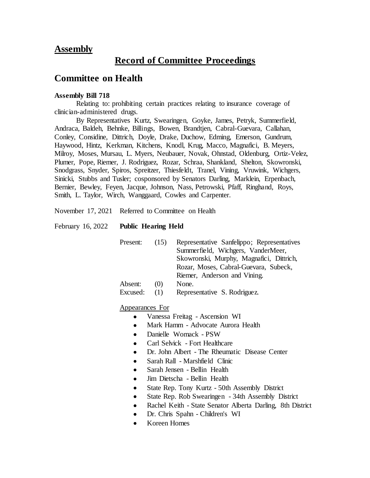# **Assembly**

# **Record of Committee Proceedings**

# **Committee on Health**

#### **Assembly Bill 718**

Relating to: prohibiting certain practices relating to insurance coverage of clinician-administered drugs.

By Representatives Kurtz, Swearingen, Goyke, James, Petryk, Summerfield, Andraca, Baldeh, Behnke, Billings, Bowen, Brandtjen, Cabral-Guevara, Callahan, Conley, Considine, Dittrich, Doyle, Drake, Duchow, Edming, Emerson, Gundrum, Haywood, Hintz, Kerkman, Kitchens, Knodl, Krug, Macco, Magnafici, B. Meyers, Milroy, Moses, Mursau, L. Myers, Neubauer, Novak, Ohnstad, Oldenburg, Ortiz-Velez, Plumer, Pope, Riemer, J. Rodriguez, Rozar, Schraa, Shankland, Shelton, Skowronski, Snodgrass, Snyder, Spiros, Spreitzer, Thiesfeldt, Tranel, Vining, Vruwink, Wichgers, Sinicki, Stubbs and Tusler; cosponsored by Senators Darling, Marklein, Erpenbach, Bernier, Bewley, Feyen, Jacque, Johnson, Nass, Petrowski, Pfaff, Ringhand, Roys, Smith, L. Taylor, Wirch, Wanggaard, Cowles and Carpenter.

November 17, 2021 Referred to Committee on Health

#### February 16, 2022 **Public Hearing Held**

| Present:                     | (15) | Representative Sanfelippo; Representatives |
|------------------------------|------|--------------------------------------------|
|                              |      | Summerfield, Wichgers, VanderMeer,         |
|                              |      | Skowronski, Murphy, Magnafici, Dittrich,   |
|                              |      | Rozar, Moses, Cabral-Guevara, Subeck,      |
|                              |      | Riemer, Anderson and Vining.               |
| Absent:                      | (1)  | None.                                      |
| $\Gamma$ ------- $\lambda$ . |      | $D_{\text{current}}$                       |

Excused: (1) Representative S. Rodriguez.

Appearances For

- Vanessa Freitag Ascension WI
- Mark Hamm Advocate Aurora Health
- Danielle Womack PSW
- Carl Selvick Fort Healthcare
- Dr. John Albert The Rheumatic Disease Center
- Sarah Rall Marshfield Clinic
- Sarah Jensen Bellin Health
- Jim Dietscha Bellin Health
- State Rep. Tony Kurtz 50th Assembly District
- State Rep. Rob Swearingen 34th Assembly District
- Rachel Keith State Senator Alberta Darling, 8th District
- Dr. Chris Spahn Children's WI
- Koreen Homes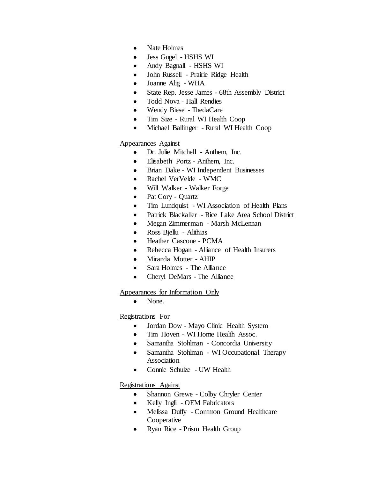- Nate Holmes
- Jess Gugel HSHS WI
- Andy Bagnall HSHS WI
- John Russell Prairie Ridge Health
- Joanne Alig WHA
- State Rep. Jesse James 68th Assembly District
- Todd Nova Hall Rendies
- Wendy Biese ThedaCare
- Tim Size Rural WI Health Coop
- Michael Ballinger Rural WI Health Coop

### Appearances Against

- Dr. Julie Mitchell Anthem, Inc.
- Elisabeth Portz Anthem, Inc.
- Brian Dake WI Independent Businesses
- Rachel VerVelde WMC
- Will Walker Walker Forge
- Pat Cory Quartz
- Tim Lundquist WI Association of Health Plans
- Patrick Blackaller Rice Lake Area School District
- Megan Zimmerman Marsh McLennan
- Ross Bjellu Alithias
- Heather Cascone PCMA
- Rebecca Hogan Alliance of Health Insurers
- Miranda Motter AHIP
- Sara Holmes The Alliance
- Cheryl DeMars The Alliance

### Appearances for Information Only

• None.

## Registrations For

- Jordan Dow Mayo Clinic Health System
- Tim Hoven WI Home Health Assoc.
- Samantha Stohlman Concordia University
- Samantha Stohlman WI Occupational Therapy Association
- Connie Schulze UW Health

## Registrations Against

- Shannon Grewe Colby Chryler Center
- Kelly Ingli OEM Fabricators
- Melissa Duffy Common Ground Healthcare **Cooperative**
- Ryan Rice Prism Health Group